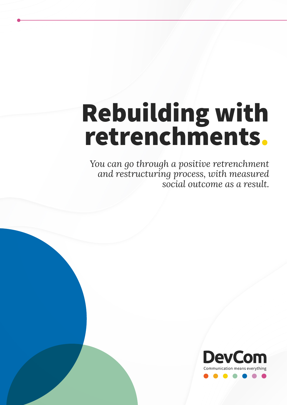# Rebuilding with retrenchments.

*You can go through a positive retrenchment and restructuring process, with measured social outcome as a result.*

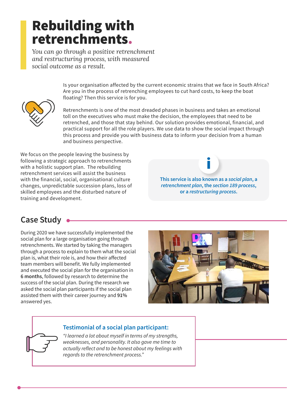## Rebuilding with retrenchments.

*You can go through a positive retrenchment and restructuring process, with measured social outcome as a result.*

> Is your organisation affected by the current economic strains that we face in South Africa? Are you in the process of retrenching employees to cut hard costs, to keep the boat floating? Then this service is for you.



Retrenchments is one of the most dreaded phases in business and takes an emotional toll on the executives who must make the decision, the employees that need to be retrenched, and those that stay behind. Our solution provides emotional, financial, and practical support for all the role players. We use data to show the social impact through this process and provide you with business data to inform your decision from a human and business perspective.

We focus on the people leaving the business by following a strategic approach to retrenchments with a holistic support plan. The rebuilding retrenchment services will assist the business with the financial, social, organisational culture changes, unpredictable succession plans, loss of skilled employees and the disturbed nature of training and development.

**This service is also known as a** *social plan***, a**  *retrenchment plan***, the** *section 189 process***, or a** *restructuring process***.**

## **Case Study**

During 2020 we have successfully implemented the social plan for a large organisation going through retrenchments. We started by taking the managers through a process to explain to them what the social plan is, what their role is, and how their affected team members will benefit. We fully implemented and executed the social plan for the organisation in **6 months**, followed by research to determine the success of the social plan. During the research we asked the social plan participants if the social plan assisted them with their career journey and **91%** answered yes.



#### **Testimonial of a social plan participant:**

*"I learned a lot about myself in terms of my strengths, weaknesses, and personality. It also gave me time to actually reflect and to be honest about my feelings with regards to the retrenchment process."*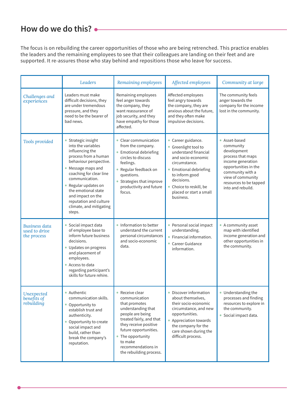## **How do we do this?**

The focus is on rebuilding the career opportunities of those who are being retrenched. This practice enables the leaders and the remaining employees to see that their colleagues are landing on their feet and are supported. It re-assures those who stay behind and repositions those who leave for success.

|                                                      | Leaders                                                                                                                                                                                                                                                                                                        | Remaining employees                                                                                                                                                                                                                                        | Affected employees                                                                                                                                                                                                                     | Community at large                                                                                                                                                                                  |
|------------------------------------------------------|----------------------------------------------------------------------------------------------------------------------------------------------------------------------------------------------------------------------------------------------------------------------------------------------------------------|------------------------------------------------------------------------------------------------------------------------------------------------------------------------------------------------------------------------------------------------------------|----------------------------------------------------------------------------------------------------------------------------------------------------------------------------------------------------------------------------------------|-----------------------------------------------------------------------------------------------------------------------------------------------------------------------------------------------------|
| Challenges and<br>experiences                        | Leaders must make<br>difficult decisions, they<br>are under tremendous<br>pressure, and they<br>need to be the bearer of<br>bad news.                                                                                                                                                                          | Remaining employees<br>feel anger towards<br>the company, they<br>want reassurance of<br>job security, and they<br>have empathy for those<br>affected.                                                                                                     | Affected employees<br>feel angry towards<br>the company, they are<br>anxious about the future,<br>and they often make<br>impulsive decisions.                                                                                          | The community feels<br>anger towards the<br>company for the income<br>lost in the community.                                                                                                        |
| Tools provided                                       | Strategic insight<br>into the variables<br>influencing the<br>process from a human<br>behaviour perspective.<br>Message maps and<br>coaching for clear line<br>communication.<br>Regular updates on<br>the emotional state<br>and impact on the<br>reputation and culture<br>climate, and mitigating<br>steps. | • Clear communication<br>from the company.<br>• Emotional debriefing<br>circles to discuss<br>feelings.<br>• Regular feedback on<br>questions.<br>• Strategies that improve<br>productivity and future<br>focus.                                           | • Career guidance.<br>• Greenlight tool to<br>understand financial<br>and socio-economic<br>circumstance.<br>• Emotional debriefing<br>to inform good<br>decisions.<br>• Choice to reskill, be<br>placed or start a small<br>business. | • Asset-based<br>community<br>development<br>process that maps<br>income generation<br>opportunities in the<br>community with a<br>view of community<br>resources to be tapped<br>into and rebuild. |
| <b>Business data</b><br>used to drive<br>the process | • Social impact data<br>of employee base to<br>inform future business<br>decisions.<br>Updates on progress<br>and placement of<br>employees.<br>Access to data<br>regarding participant's<br>skills for future rehire.                                                                                         | • Information to better<br>understand the current<br>personal circumstances<br>and socio-economic<br>data.                                                                                                                                                 | • Personal social impact<br>understanding.<br>• Financial information.<br>• Career Guidance<br>information.                                                                                                                            | • A community asset<br>map with identified<br>income generation and<br>other opportunities in<br>the community.                                                                                     |
| Unexpected<br>benefits of<br>rebuilding              | • Authentic<br>communication skills.<br>Opportunity to<br>establish trust and<br>authenticity.<br>Opportunity to create<br>social impact and<br>build, rather than<br>break the company's<br>reputation.                                                                                                       | • Receive clear<br>communication<br>that promotes<br>understanding that<br>people are being<br>treated fairly, and that<br>they receive positive<br>future opportunities.<br>• The opportunity<br>to make<br>recommendations in<br>the rebuilding process. | • Discover information<br>about themselves,<br>their socio-economic<br>circumstance, and new<br>opportunities.<br>• Appreciation towards<br>the company for the<br>care shown during the<br>difficult process.                         | • Understanding the<br>processes and finding<br>resources to explore in<br>the community.<br>· Social impact data.                                                                                  |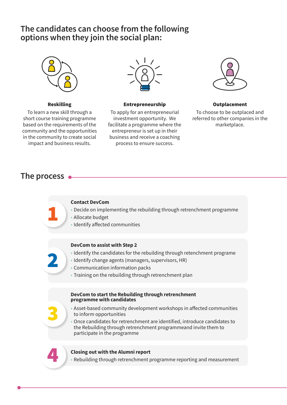## **The candidates can choose from the following options when they join the social plan:**



#### Reskilling

To learn a new skill through a short course training programme based on the requirements of the community and the opportunities in the community to create social impact and business results.



#### Entrepreneurship

To apply for an entrepreneurial investment opportunity. We facilitate a programme where the entrepreneur is set up in their business and receive a coaching process to ensure success.



#### Outplacement

To choose to be outplaced and referred to other companies in the marketplace.

### **The process**